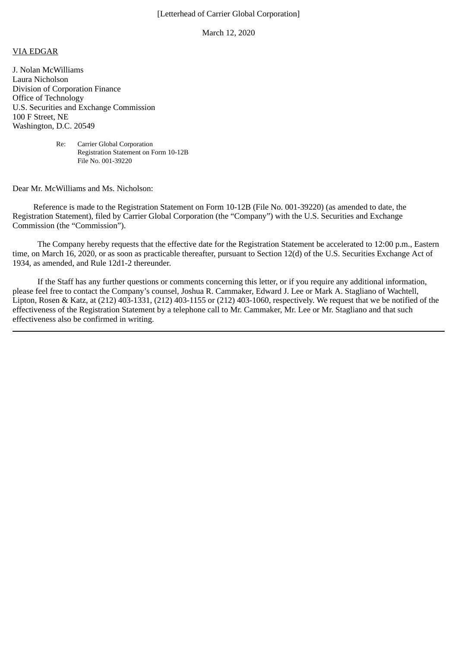## [Letterhead of Carrier Global Corporation]

March 12, 2020

## VIA EDGAR

J. Nolan McWilliams Laura Nicholson Division of Corporation Finance Office of Technology U.S. Securities and Exchange Commission 100 F Street, NE Washington, D.C. 20549

> Re: Carrier Global Corporation Registration Statement on Form 10-12B File No. 001-39220

## Dear Mr. McWilliams and Ms. Nicholson:

 Reference is made to the Registration Statement on Form 10-12B (File No. 001-39220) (as amended to date, the Registration Statement), filed by Carrier Global Corporation (the "Company") with the U.S. Securities and Exchange Commission (the "Commission").

The Company hereby requests that the effective date for the Registration Statement be accelerated to 12:00 p.m., Eastern time, on March 16, 2020, or as soon as practicable thereafter, pursuant to Section 12(d) of the U.S. Securities Exchange Act of 1934, as amended, and Rule 12d1-2 thereunder.

If the Staff has any further questions or comments concerning this letter, or if you require any additional information, please feel free to contact the Company's counsel, Joshua R. Cammaker, Edward J. Lee or Mark A. Stagliano of Wachtell, Lipton, Rosen & Katz, at (212) 403-1331, (212) 403-1155 or (212) 403-1060, respectively. We request that we be notified of the effectiveness of the Registration Statement by a telephone call to Mr. Cammaker, Mr. Lee or Mr. Stagliano and that such effectiveness also be confirmed in writing.